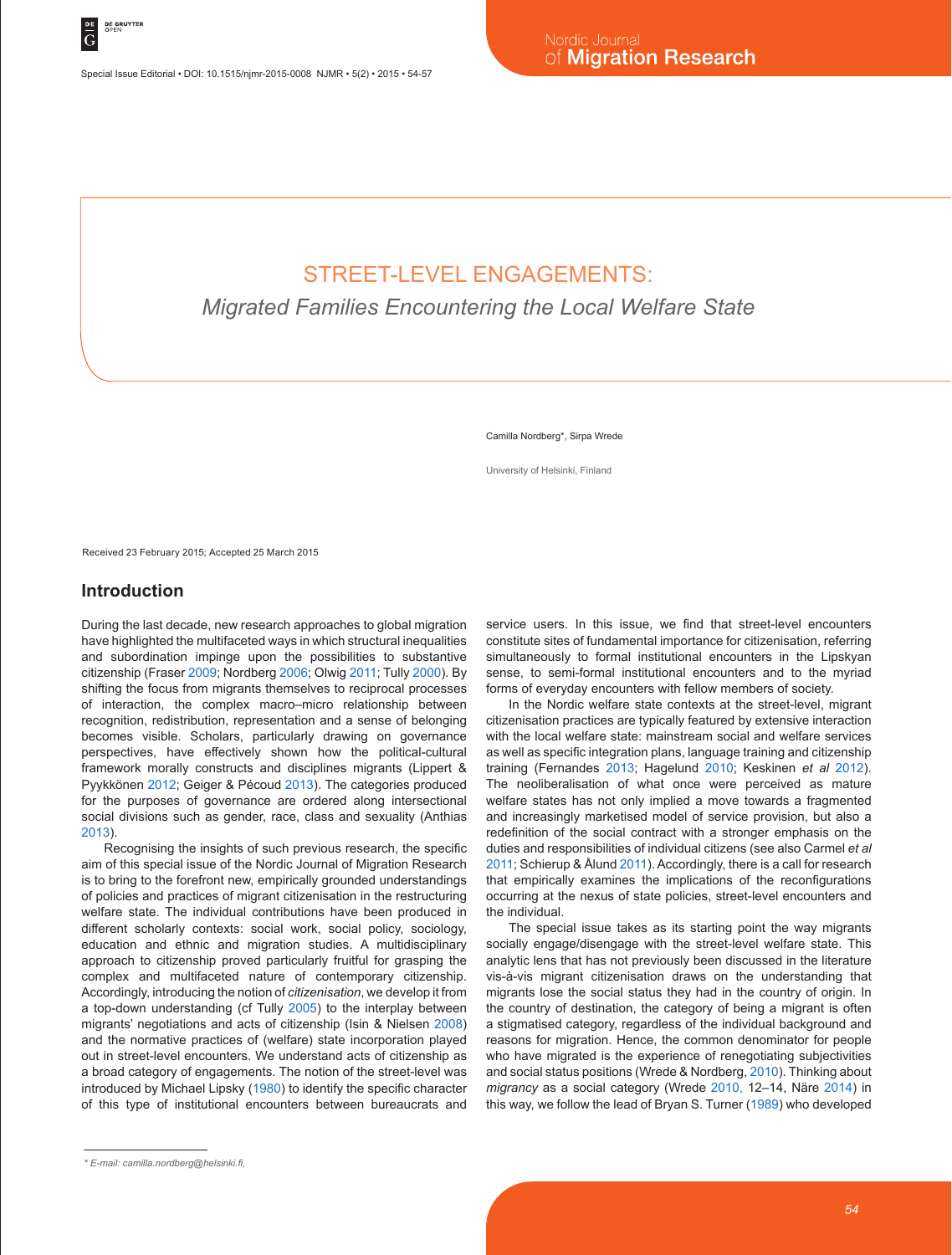Special Issue Editorial • DOI: 10.1515/njmr-2015-0008 NJMR • 5(2) • 2015 • 54-57

## STREET-LEVEL ENGAGEMENTS:

*Migrated Families Encountering the Local Welfare State*

Camilla Nordberg\*, Sirpa Wrede

University of Helsinki, Finland

Received 23 February 2015; Accepted 25 March 2015

## **Introduction**

During the last decade, new research approaches to global migration have highlighted the multifaceted ways in which structural inequalities and subordination impinge upon the possibilities to substantive citizenship (Fraser 2009; Nordberg 2006; Olwig 2011; Tully 2000). By shifting the focus from migrants themselves to reciprocal processes of interaction, the complex macro–micro relationship between recognition, redistribution, representation and a sense of belonging becomes visible. Scholars, particularly drawing on governance perspectives, have effectively shown how the political-cultural framework morally constructs and disciplines migrants (Lippert & Pyykkönen 2012; Geiger & Pécoud 2013). The categories produced for the purposes of governance are ordered along intersectional social divisions such as gender, race, class and sexuality (Anthias 2013).

Recognising the insights of such previous research, the specific aim of this special issue of the Nordic Journal of Migration Research is to bring to the forefront new, empirically grounded understandings of policies and practices of migrant citizenisation in the restructuring welfare state. The individual contributions have been produced in different scholarly contexts: social work, social policy, sociology, education and ethnic and migration studies. A multidisciplinary approach to citizenship proved particularly fruitful for grasping the complex and multifaceted nature of contemporary citizenship. Accordingly, introducing the notion of *citizenisation*, we develop it from a top-down understanding (cf Tully 2005) to the interplay between migrants' negotiations and acts of citizenship (Isin & Nielsen 2008) and the normative practices of (welfare) state incorporation played out in street-level encounters. We understand acts of citizenship as a broad category of engagements. The notion of the street-level was introduced by Michael Lipsky (1980) to identify the specific character of this type of institutional encounters between bureaucrats and

service users. In this issue, we find that street-level encounters constitute sites of fundamental importance for citizenisation, referring simultaneously to formal institutional encounters in the Lipskyan sense, to semi-formal institutional encounters and to the myriad forms of everyday encounters with fellow members of society.

In the Nordic welfare state contexts at the street-level, migrant citizenisation practices are typically featured by extensive interaction with the local welfare state: mainstream social and welfare services as well as specific integration plans, language training and citizenship training (Fernandes 2013; Hagelund 2010; Keskinen *et al* 2012). The neoliberalisation of what once were perceived as mature welfare states has not only implied a move towards a fragmented and increasingly marketised model of service provision, but also a redefinition of the social contract with a stronger emphasis on the duties and responsibilities of individual citizens (see also Carmel *et al* 2011; Schierup & Ålund 2011). Accordingly, there is a call for research that empirically examines the implications of the reconfigurations occurring at the nexus of state policies, street-level encounters and the individual.

The special issue takes as its starting point the way migrants socially engage/disengage with the street-level welfare state. This analytic lens that has not previously been discussed in the literature vis-à-vis migrant citizenisation draws on the understanding that migrants lose the social status they had in the country of origin. In the country of destination, the category of being a migrant is often a stigmatised category, regardless of the individual background and reasons for migration. Hence, the common denominator for people who have migrated is the experience of renegotiating subjectivities and social status positions (Wrede & Nordberg, 2010). Thinking about *migrancy* as a social category (Wrede 2010, 12–14, Näre 2014) in this way, we follow the lead of Bryan S. Turner (1989) who developed

*<sup>\*</sup> E-mail: camilla.nordberg@helsinki.fi,*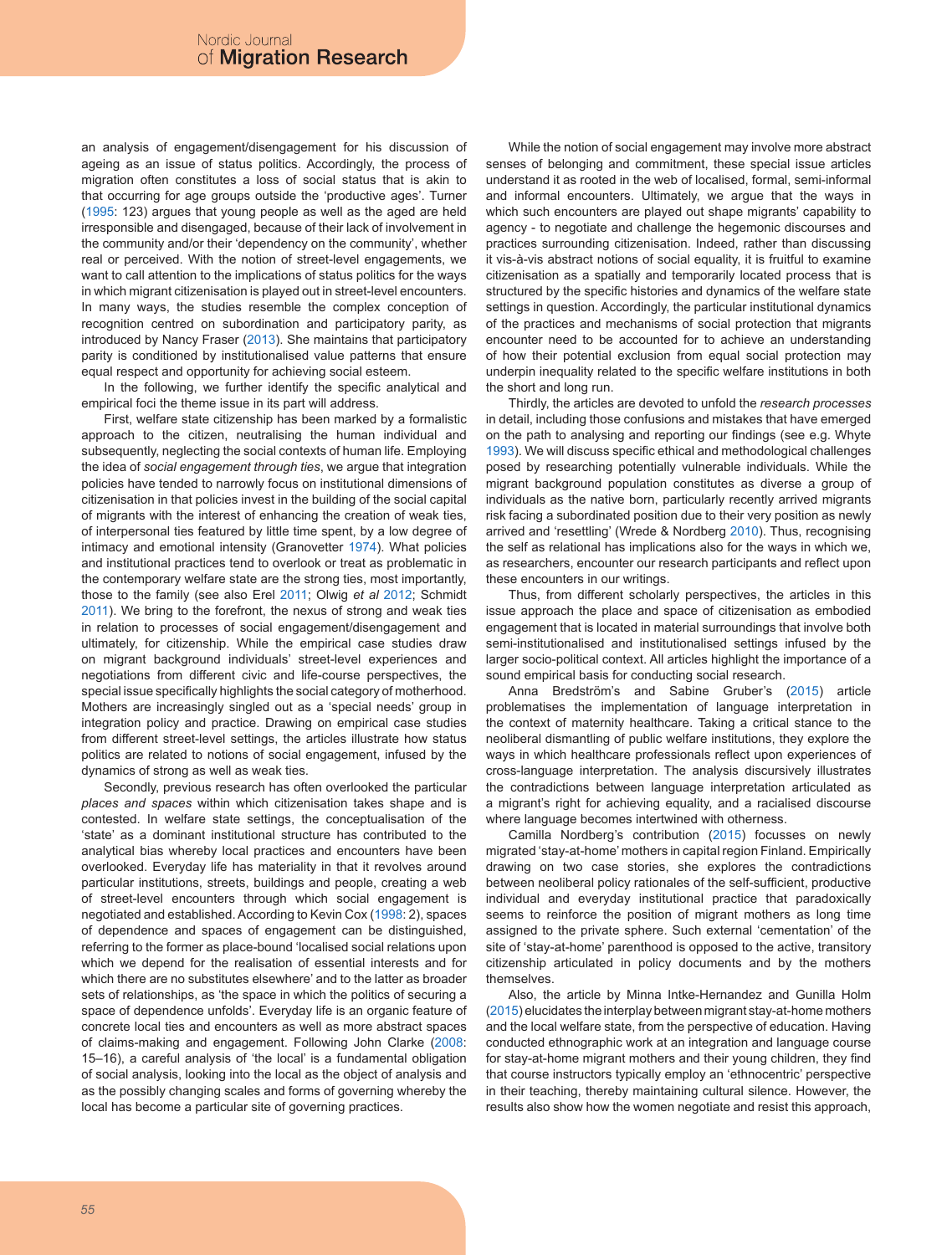an analysis of engagement/disengagement for his discussion of ageing as an issue of status politics. Accordingly, the process of migration often constitutes a loss of social status that is akin to that occurring for age groups outside the 'productive ages'. Turner (1995: 123) argues that young people as well as the aged are held irresponsible and disengaged, because of their lack of involvement in the community and/or their 'dependency on the community', whether real or perceived. With the notion of street-level engagements, we want to call attention to the implications of status politics for the ways in which migrant citizenisation is played out in street-level encounters. In many ways, the studies resemble the complex conception of recognition centred on subordination and participatory parity, as introduced by Nancy Fraser (2013). She maintains that participatory parity is conditioned by institutionalised value patterns that ensure equal respect and opportunity for achieving social esteem.

In the following, we further identify the specific analytical and empirical foci the theme issue in its part will address.

First, welfare state citizenship has been marked by a formalistic approach to the citizen, neutralising the human individual and subsequently, neglecting the social contexts of human life. Employing the idea of *social engagement through ties*, we argue that integration policies have tended to narrowly focus on institutional dimensions of citizenisation in that policies invest in the building of the social capital of migrants with the interest of enhancing the creation of weak ties, of interpersonal ties featured by little time spent, by a low degree of intimacy and emotional intensity (Granovetter 1974). What policies and institutional practices tend to overlook or treat as problematic in the contemporary welfare state are the strong ties, most importantly, those to the family (see also Erel 2011; Olwig *et al* 2012; Schmidt 2011). We bring to the forefront, the nexus of strong and weak ties in relation to processes of social engagement/disengagement and ultimately, for citizenship. While the empirical case studies draw on migrant background individuals' street-level experiences and negotiations from different civic and life-course perspectives, the special issue specifically highlights the social category of motherhood. Mothers are increasingly singled out as a 'special needs' group in integration policy and practice. Drawing on empirical case studies from different street-level settings, the articles illustrate how status politics are related to notions of social engagement, infused by the dynamics of strong as well as weak ties.

Secondly, previous research has often overlooked the particular *places and spaces* within which citizenisation takes shape and is contested. In welfare state settings, the conceptualisation of the 'state' as a dominant institutional structure has contributed to the analytical bias whereby local practices and encounters have been overlooked. Everyday life has materiality in that it revolves around particular institutions, streets, buildings and people, creating a web of street-level encounters through which social engagement is negotiated and established. According to Kevin Cox (1998: 2), spaces of dependence and spaces of engagement can be distinguished, referring to the former as place-bound 'localised social relations upon which we depend for the realisation of essential interests and for which there are no substitutes elsewhere' and to the latter as broader sets of relationships, as 'the space in which the politics of securing a space of dependence unfolds'. Everyday life is an organic feature of concrete local ties and encounters as well as more abstract spaces of claims-making and engagement. Following John Clarke (2008: 15–16), a careful analysis of 'the local' is a fundamental obligation of social analysis, looking into the local as the object of analysis and as the possibly changing scales and forms of governing whereby the local has become a particular site of governing practices.

While the notion of social engagement may involve more abstract senses of belonging and commitment, these special issue articles understand it as rooted in the web of localised, formal, semi-informal and informal encounters. Ultimately, we argue that the ways in which such encounters are played out shape migrants' capability to agency - to negotiate and challenge the hegemonic discourses and practices surrounding citizenisation. Indeed, rather than discussing it vis-à-vis abstract notions of social equality, it is fruitful to examine citizenisation as a spatially and temporarily located process that is structured by the specific histories and dynamics of the welfare state settings in question. Accordingly, the particular institutional dynamics of the practices and mechanisms of social protection that migrants encounter need to be accounted for to achieve an understanding of how their potential exclusion from equal social protection may underpin inequality related to the specific welfare institutions in both the short and long run.

Thirdly, the articles are devoted to unfold the *research processes* in detail, including those confusions and mistakes that have emerged on the path to analysing and reporting our findings (see e.g. Whyte 1993). We will discuss specific ethical and methodological challenges posed by researching potentially vulnerable individuals. While the migrant background population constitutes as diverse a group of individuals as the native born, particularly recently arrived migrants risk facing a subordinated position due to their very position as newly arrived and 'resettling' (Wrede & Nordberg 2010). Thus, recognising the self as relational has implications also for the ways in which we, as researchers, encounter our research participants and reflect upon these encounters in our writings.

Thus, from different scholarly perspectives, the articles in this issue approach the place and space of citizenisation as embodied engagement that is located in material surroundings that involve both semi-institutionalised and institutionalised settings infused by the larger socio-political context. All articles highlight the importance of a sound empirical basis for conducting social research.

Anna Bredström's and Sabine Gruber's (2015) article problematises the implementation of language interpretation in the context of maternity healthcare. Taking a critical stance to the neoliberal dismantling of public welfare institutions, they explore the ways in which healthcare professionals reflect upon experiences of cross-language interpretation. The analysis discursively illustrates the contradictions between language interpretation articulated as a migrant's right for achieving equality, and a racialised discourse where language becomes intertwined with otherness.

Camilla Nordberg's contribution (2015) focusses on newly migrated 'stay-at-home' mothers in capital region Finland. Empirically drawing on two case stories, she explores the contradictions between neoliberal policy rationales of the self-sufficient, productive individual and everyday institutional practice that paradoxically seems to reinforce the position of migrant mothers as long time assigned to the private sphere. Such external 'cementation' of the site of 'stay-at-home' parenthood is opposed to the active, transitory citizenship articulated in policy documents and by the mothers themselves.

Also, the article by Minna Intke-Hernandez and Gunilla Holm (2015) elucidates the interplay between migrant stay-at-home mothers and the local welfare state, from the perspective of education. Having conducted ethnographic work at an integration and language course for stay-at-home migrant mothers and their young children, they find that course instructors typically employ an 'ethnocentric' perspective in their teaching, thereby maintaining cultural silence. However, the results also show how the women negotiate and resist this approach,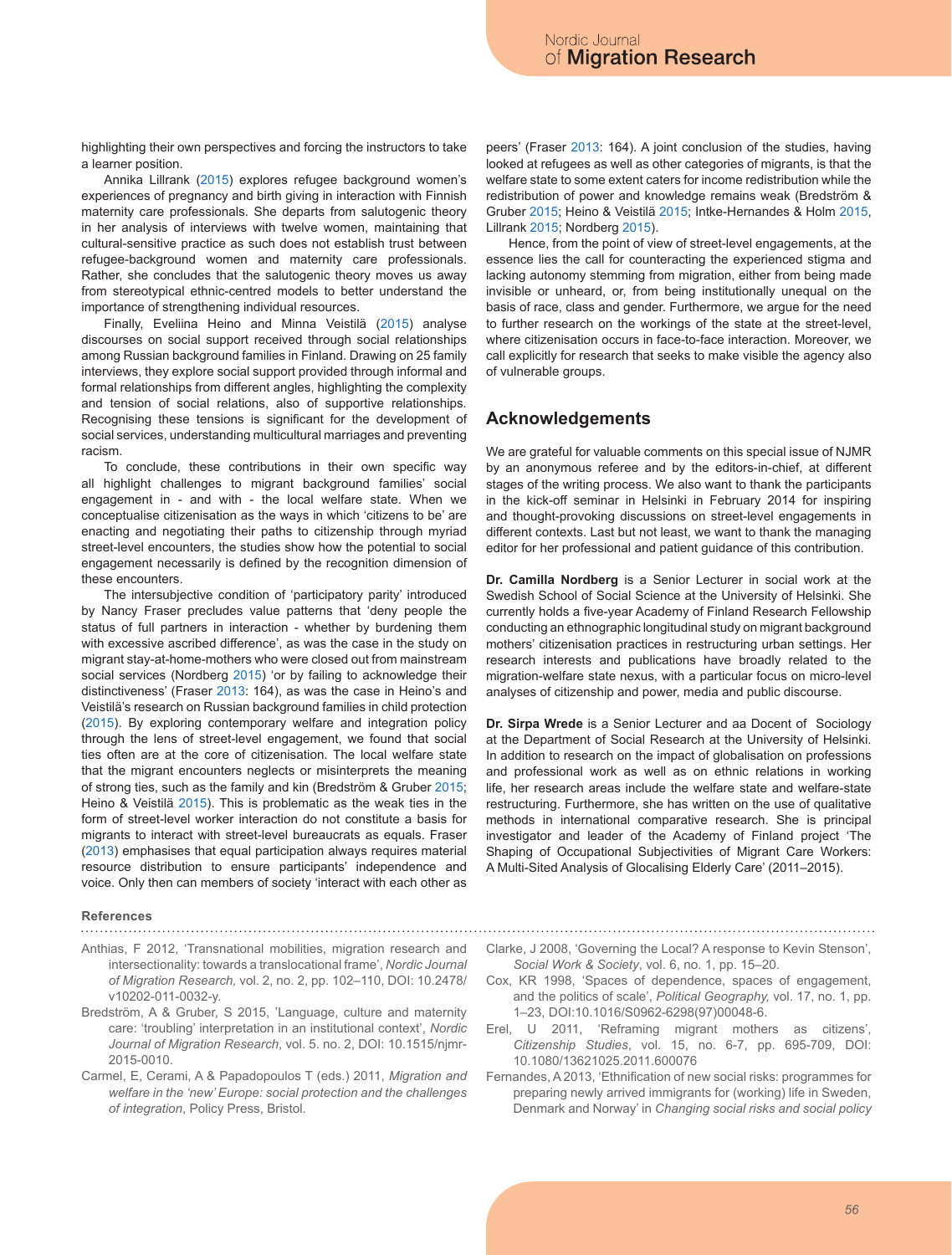highlighting their own perspectives and forcing the instructors to take a learner position.

Annika Lillrank (2015) explores refugee background women's experiences of pregnancy and birth giving in interaction with Finnish maternity care professionals. She departs from salutogenic theory in her analysis of interviews with twelve women, maintaining that cultural-sensitive practice as such does not establish trust between refugee-background women and maternity care professionals. Rather, she concludes that the salutogenic theory moves us away from stereotypical ethnic-centred models to better understand the importance of strengthening individual resources.

Finally, Eveliina Heino and Minna Veistilä (2015) analyse discourses on social support received through social relationships among Russian background families in Finland. Drawing on 25 family interviews, they explore social support provided through informal and formal relationships from different angles, highlighting the complexity and tension of social relations, also of supportive relationships*.*  Recognising these tensions is significant for the development of social services, understanding multicultural marriages and preventing racism.

To conclude, these contributions in their own specific way all highlight challenges to migrant background families' social engagement in - and with - the local welfare state. When we conceptualise citizenisation as the ways in which 'citizens to be' are enacting and negotiating their paths to citizenship through myriad street-level encounters, the studies show how the potential to social engagement necessarily is defined by the recognition dimension of these encounters.

The intersubjective condition of 'participatory parity' introduced by Nancy Fraser precludes value patterns that 'deny people the status of full partners in interaction - whether by burdening them with excessive ascribed difference', as was the case in the study on migrant stay-at-home-mothers who were closed out from mainstream social services (Nordberg 2015) 'or by failing to acknowledge their distinctiveness' (Fraser 2013: 164), as was the case in Heino's and Veistilä's research on Russian background families in child protection (2015). By exploring contemporary welfare and integration policy through the lens of street-level engagement, we found that social ties often are at the core of citizenisation. The local welfare state that the migrant encounters neglects or misinterprets the meaning of strong ties, such as the family and kin (Bredström & Gruber 2015; Heino & Veistilä 2015). This is problematic as the weak ties in the form of street-level worker interaction do not constitute a basis for migrants to interact with street-level bureaucrats as equals. Fraser (2013) emphasises that equal participation always requires material resource distribution to ensure participants' independence and voice. Only then can members of society 'interact with each other as

**References**

- Anthias, F 2012, 'Transnational mobilities, migration research and intersectionality: towards a translocational frame', *Nordic Journal of Migration Research,* vol. 2, no. 2, pp. 102–110, DOI: 10.2478/ v10202-011-0032-y.
- Bredström, A & Gruber, S 2015, 'Language, culture and maternity care: 'troubling' interpretation in an institutional context', *Nordic Journal of Migration Research*, vol. 5. no. 2, DOI: 10.1515/njmr-2015-0010.
- Carmel, E, Cerami, A & Papadopoulos T (eds.) 2011, *Migration and welfare in the 'new' Europe: social protection and the challenges of integration*, Policy Press, Bristol.

peers' (Fraser 2013: 164). A joint conclusion of the studies, having looked at refugees as well as other categories of migrants, is that the welfare state to some extent caters for income redistribution while the redistribution of power and knowledge remains weak (Bredström & Gruber 2015; Heino & Veistilä 2015; Intke-Hernandes & Holm 2015, Lillrank 2015; Nordberg 2015).

Hence, from the point of view of street-level engagements, at the essence lies the call for counteracting the experienced stigma and lacking autonomy stemming from migration, either from being made invisible or unheard, or, from being institutionally unequal on the basis of race, class and gender. Furthermore, we argue for the need to further research on the workings of the state at the street-level, where citizenisation occurs in face-to-face interaction. Moreover, we call explicitly for research that seeks to make visible the agency also of vulnerable groups.

## **Acknowledgements**

We are grateful for valuable comments on this special issue of NJMR by an anonymous referee and by the editors-in-chief, at different stages of the writing process. We also want to thank the participants in the kick-off seminar in Helsinki in February 2014 for inspiring and thought-provoking discussions on street-level engagements in different contexts. Last but not least, we want to thank the managing editor for her professional and patient guidance of this contribution.

**Dr. Camilla Nordberg** is a Senior Lecturer in social work at the Swedish School of Social Science at the University of Helsinki. She currently holds a five-year Academy of Finland Research Fellowship conducting an ethnographic longitudinal study on migrant background mothers' citizenisation practices in restructuring urban settings. Her research interests and publications have broadly related to the migration-welfare state nexus, with a particular focus on micro-level analyses of citizenship and power, media and public discourse.

**Dr. Sirpa Wrede** is a Senior Lecturer and aa Docent of Sociology at the Department of Social Research at the University of Helsinki. In addition to research on the impact of globalisation on professions and professional work as well as on ethnic relations in working life, her research areas include the welfare state and welfare-state restructuring. Furthermore, she has written on the use of qualitative methods in international comparative research. She is principal investigator and leader of the Academy of Finland project 'The Shaping of Occupational Subjectivities of Migrant Care Workers: A Multi-Sited Analysis of Glocalising Elderly Care' (2011–2015).

- Clarke, J 2008, 'Governing the Local? A response to Kevin Stenson', *Social Work & Society*, vol. 6, no. 1, pp. 15–20.
- Cox, KR 1998, 'Spaces of dependence, spaces of engagement, and the politics of scale', *Political Geography,* vol. 17, no. 1, pp. 1–23, DOI:10.1016/S0962-6298(97)00048-6.
- Erel, U 2011, 'Reframing migrant mothers as citizens', *Citizenship Studies*, vol. 15, no. 6-7, pp. 695-709, DOI: 10.1080/13621025.2011.600076
- Fernandes, A 2013, 'Ethnification of new social risks: programmes for preparing newly arrived immigrants for (working) life in Sweden, Denmark and Norway' in *Changing social risks and social policy*